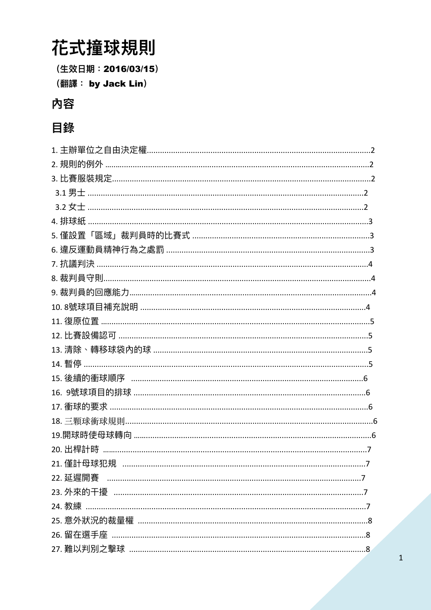# 花式撞球規則

(生效日期: 2016/03/15)

(翻譯: by Jack Lin)

# 內容

# 目錄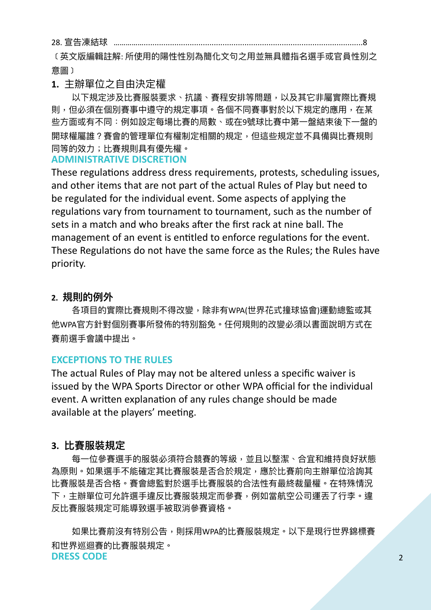28. 宣告凍結球 ……..

〔英文版編輯註解: 所使用的陽性性別為簡化文句之用並無具體指名選手或官員性別之 意圖﹞

#### **1.** 主辦單位之⾃由決定權

以下規定涉及比賽服裝要求、抗議、賽程安排等問題,以及其它非屬實際比賽規 則,但必須在個別賽事中遵守的規定事項。各個不同賽事對於以下規定的應用,在某 些方面或有不同:例如設定每場比賽的局數、或在9號球比賽中第一盤結束後下一盤的 開球權屬誰?賽會的管理單位有權制定相關的規定,但這些規定並不具備與比賽規則 同等的效⼒;比賽規則具有優先權。

#### **ADMINISTRATIVE DISCRETION**

These regulations address dress requirements, protests, scheduling issues, and other items that are not part of the actual Rules of Play but need to be regulated for the individual event. Some aspects of applying the regulations vary from tournament to tournament, such as the number of sets in a match and who breaks after the first rack at nine ball. The management of an event is entitled to enforce regulations for the event. These Regulations do not have the same force as the Rules; the Rules have priority.

#### **2. 規則的例外**

各項目的實際比賽規則不得改變,除非有WPA(世界花式撞球協會)運動總監或其 他WPA官方針對個別賽事所發佈的特別豁免。任何規則的改變必須以書面說明方式在 賽前選⼿會議中提出。

#### **EXCEPTIONS TO THE RULES**

The actual Rules of Play may not be altered unless a specific waiver is issued by the WPA Sports Director or other WPA official for the individual event. A written explanation of any rules change should be made available at the players' meeting.

#### **3. 比賽服裝規定**

每一位參賽選手的服裝必須符合競賽的等級,並且以整潔、合宜和維持良好狀態 為原則。如果選手不能確定其比賽服裝是否合於規定,應於比賽前向主辦單位洽詢其 比賽服裝是否合格。賽會總監對於選手比賽服裝的合法性有最終裁量權。在特殊情況 下,主辦單位可允許選手違反比賽服裝規定而參賽,例如當航空公司運丟了行李。違 反比賽服裝規定可能導致選⼿被取消參賽資格。

如果比賽前沒有特別公告,則採用WPA的比賽服裝規定。以下是現行世界錦標賽 和世界巡迴賽的比賽服裝規定。 **DRESS CODE**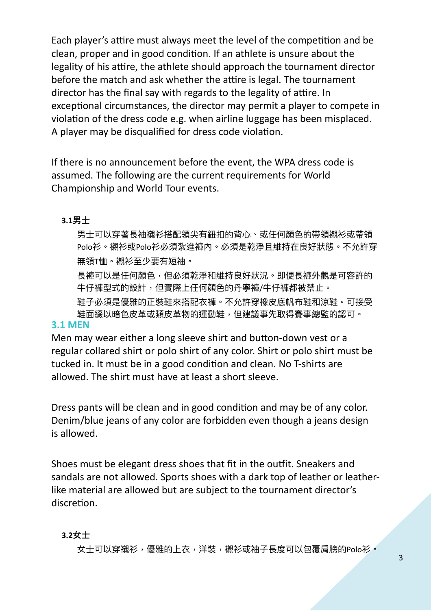Each player's attire must always meet the level of the competition and be clean, proper and in good condition. If an athlete is unsure about the legality of his attire, the athlete should approach the tournament director before the match and ask whether the attire is legal. The tournament director has the final say with regards to the legality of attire. In exceptional circumstances, the director may permit a player to compete in violation of the dress code e.g. when airline luggage has been misplaced. A player may be disqualified for dress code violation.

If there is no announcement before the event, the WPA dress code is assumed. The following are the current requirements for World Championship and World Tour events.

#### **3.1男⼠**

男士可以穿著長袖襯衫搭配領尖有鈕扣的背心、或任何顏色的帶領襯衫或帶領 Polo衫。襯衫或Polo衫必須紮進褲內。必須是乾淨且維持在良好狀態。不允許穿 無領T恤。襯衫⾄少要有短袖。

長褲可以是任何顏色,但必須乾淨和維持良好狀況。即便長褲外觀是可容許的 牛仔褲型式的設計,但實際上任何顏色的丹寧褲/牛仔褲都被禁止。

鞋子必須是優雅的正裝鞋來搭配衣褲。不允許穿橡皮底帆布鞋和涼鞋。可接受 鞋⾯綴以暗⾊⽪⾰或類⽪⾰物的運動鞋,但建議事先取得賽事總監的認可。

#### **3.1 MEN**

Men may wear either a long sleeve shirt and button-down vest or a regular collared shirt or polo shirt of any color. Shirt or polo shirt must be tucked in. It must be in a good condition and clean. No T-shirts are allowed. The shirt must have at least a short sleeve.

Dress pants will be clean and in good condition and may be of any color. Denim/blue jeans of any color are forbidden even though a jeans design is allowed.

Shoes must be elegant dress shoes that fit in the outfit. Sneakers and sandals are not allowed. Sports shoes with a dark top of leather or leatherlike material are allowed but are subject to the tournament director's discretion.

#### **3.2女⼠**

女士可以穿襯衫,優雅的上衣,洋裝,襯衫或袖子長度可以包覆肩膀的Polo衫。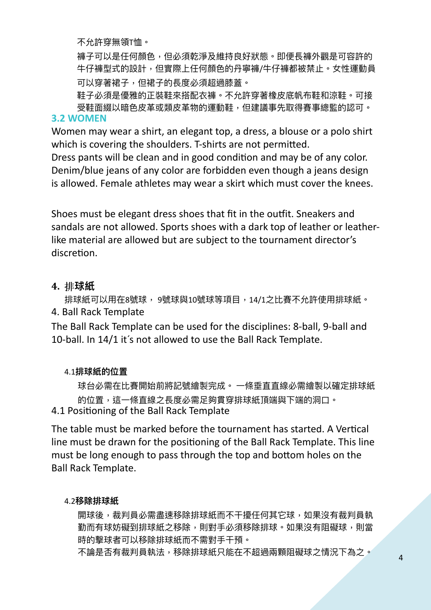不允許穿無領T恤。

褲子可以是任何顏色,但必須乾淨及維持良好狀態。即便長褲外觀是可容許的 牛仔褲型式的設計,但實際上任何顏色的丹寧褲/牛仔褲都被禁止。女性運動員 可以穿著裙子,但裙子的長度必須超過膝蓋。

鞋子必須是優雅的正裝鞋來搭配衣褲。不允許穿著橡皮底帆布鞋和涼鞋。可接 受鞋面綴以暗色皮革或類皮革物的運動鞋,但建議事先取得賽事總監的認可。

#### **3.2 WOMEN**

Women may wear a shirt, an elegant top, a dress, a blouse or a polo shirt which is covering the shoulders. T-shirts are not permitted.

Dress pants will be clean and in good condition and may be of any color. Denim/blue jeans of any color are forbidden even though a jeans design is allowed. Female athletes may wear a skirt which must cover the knees.

Shoes must be elegant dress shoes that fit in the outfit. Sneakers and sandals are not allowed. Sports shoes with a dark top of leather or leatherlike material are allowed but are subject to the tournament director's discretion.

#### **4. 排球紙**

排球紙可以用在8號球, 9號球與10號球等項目, 14/1之比賽不允許使用排球紙。 4. Ball Rack Template

The Ball Rack Template can be used for the disciplines: 8-ball, 9-ball and 10-ball. In 14/1 it's not allowed to use the Ball Rack Template.

#### 4.1**排球紙的位置**

球台必需在比賽開始前將記號繪製完成。 一條垂直直線必需繪製以確定排球紙 的位置,這一條直線之長度必需足夠貫穿排球紙頂端與下端的洞口。 4.1 Positioning of the Ball Rack Template

The table must be marked before the tournament has started. A Vertical line must be drawn for the positioning of the Ball Rack Template. This line must be long enough to pass through the top and bottom holes on the Ball Rack Template.

#### 4.2**移除排球紙**

開球後,裁判員必需盡速移除排球紙而不干擾任何其它球,如果沒有裁判員執 勤而有球妨礙到排球紙之移除,則對手必須移除排球。如果沒有阻礙球,則當 時的擊球者可以移除排球紙而不需對手干預。

不論是否有裁判員執法,移除排球紙只能在不超過兩顆阻礙球之情況下為之。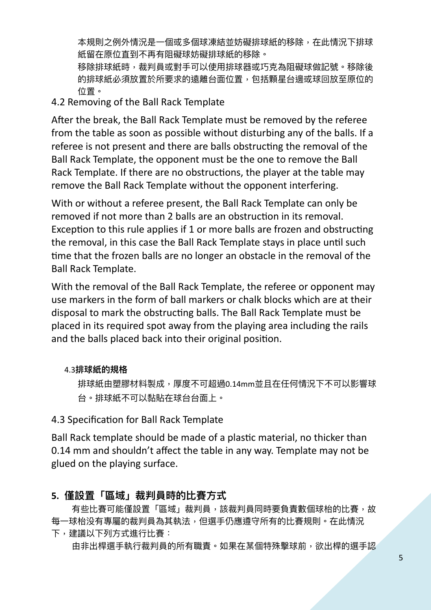本規則之例外情況是一個或多個球凍結並妨礙排球紙的移除,在此情況下排球 紙留在原位直到不再有阻礙球妨礙排球紙的移除。

移除排球紙時,裁判員或對手可以使用排球器或巧克為阻礙球做記號。移除後 的排球紙必須放置於所要求的遠離台面位置,包括顆星台邊或球回放至原位的 位置。

## 4.2 Removing of the Ball Rack Template

After the break, the Ball Rack Template must be removed by the referee from the table as soon as possible without disturbing any of the balls. If a referee is not present and there are balls obstructing the removal of the Ball Rack Template, the opponent must be the one to remove the Ball Rack Template. If there are no obstructions, the player at the table may remove the Ball Rack Template without the opponent interfering.

With or without a referee present, the Ball Rack Template can only be removed if not more than 2 balls are an obstruction in its removal. Exception to this rule applies if 1 or more balls are frozen and obstructing the removal, in this case the Ball Rack Template stays in place until such time that the frozen balls are no longer an obstacle in the removal of the Ball Rack Template.

With the removal of the Ball Rack Template, the referee or opponent may use markers in the form of ball markers or chalk blocks which are at their disposal to mark the obstructing balls. The Ball Rack Template must be placed in its required spot away from the playing area including the rails and the balls placed back into their original position.

#### 4.3**排球紙的規格**

排球紙由塑膠材料製成,厚度不可超過0.14mm並且在任何情況下不可以影響球 台。排球紙不可以黏貼在球台台面上。

# 4.3 Specification for Ball Rack Template

Ball Rack template should be made of a plastic material, no thicker than 0.14 mm and shouldn't affect the table in any way. Template may not be glued on the playing surface.

# 5. 僅設置「區域」裁判員時的比賽方式

有些比賽可能僅設置「區域」裁判員,該裁判員同時要負責數個球枱的比賽,故 每一球枱没有專屬的裁判員為其執法,但選手仍應遵守所有的比賽規則。在此情況 下,建議以下列方式進行比賽:

由非出桿選手執行裁判員的所有職責。如果在某個特殊擊球前,欲出桿的選手認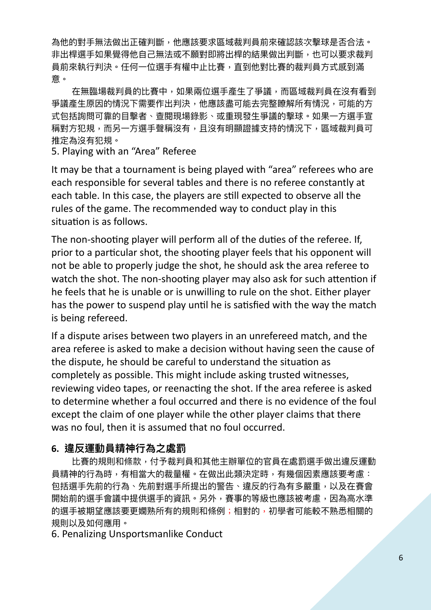為他的對手無法做出正確判斷,他應該要求區域裁判員前來確認該次擊球是否合法。 非出桿選手如果覺得他自己無法或不願對即將出桿的結果做出判斷,也可以要求裁判 員前來執行判決。任何一位選手有權中止比賽,直到他對比賽的裁判員方式感到滿 意。

在無臨場裁判員的比賽中,如果兩位選手產生了爭議,而區域裁判員在沒有看到 爭議產生原因的情況下需要作出判決,他應該盡可能去完整瞭解所有情況,可能的方 式包括詢問可靠的目擊者、查閱現場錄影、或重現發生爭議的擊球。如果一方選手宣 稱對方犯規,而另一方選手聲稱沒有,且沒有明顯證據支持的情況下,區域裁判員可 推定為沒有犯規。

5. Playing with an "Area" Referee

It may be that a tournament is being played with "area" referees who are each responsible for several tables and there is no referee constantly at each table. In this case, the players are still expected to observe all the rules of the game. The recommended way to conduct play in this situation is as follows.

The non-shooting player will perform all of the duties of the referee. If, prior to a particular shot, the shooting player feels that his opponent will not be able to properly judge the shot, he should ask the area referee to watch the shot. The non-shooting player may also ask for such attention if he feels that he is unable or is unwilling to rule on the shot. Either player has the power to suspend play until he is satisfied with the way the match is being refereed.

If a dispute arises between two players in an unrefereed match, and the area referee is asked to make a decision without having seen the cause of the dispute, he should be careful to understand the situation as completely as possible. This might include asking trusted witnesses, reviewing video tapes, or reenacting the shot. If the area referee is asked to determine whether a foul occurred and there is no evidence of the foul except the claim of one player while the other player claims that there was no foul, then it is assumed that no foul occurred.

#### **6. 違反運動員精神⾏為之處罰**

比賽的規則和條款,付予裁判員和其他主辦單位的官員在處罰選手做出違反運動 員精神的行為時,有相當大的裁量權。在做出此類決定時,有幾個因素應該要考慮: 包括選手先前的行為、先前對選手所提出的警告、違反的行為有多嚴重,以及在賽會 開始前的選手會議中提供選手的資訊。另外,賽事的等級也應該被考慮,因為高水準 的選手被期望應該要更嫻熟所有的規則和條例;相對的,初學者可能較不熟悉相關的 規則以及如何應用。

6. Penalizing Unsportsmanlike Conduct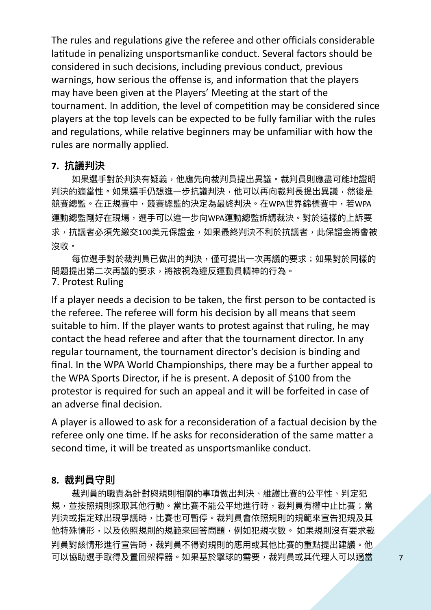The rules and regulations give the referee and other officials considerable latitude in penalizing unsportsmanlike conduct. Several factors should be considered in such decisions, including previous conduct, previous warnings, how serious the offense is, and information that the players may have been given at the Players' Meeting at the start of the tournament. In addition, the level of competition may be considered since players at the top levels can be expected to be fully familiar with the rules and regulations, while relative beginners may be unfamiliar with how the rules are normally applied.

#### **7. 抗議判決**

如果選手對於判決有疑義,他應先向裁判員提出異議。裁判員則應盡可能地證明 判決的適當性。如果選手仍想進一步抗議判決,他可以再向裁判長提出異議,然後是 競賽總監。在正規賽中,競賽總監的決定為最終判決。在WPA世界錦標賽中,若WPA 運動總監剛好在現場,選手可以進一步向WPA運動總監訴請裁決。對於這樣的上訴要 求,抗議者必須先繳交100美元保證金,如果最終判決不利於抗議者,此保證金將會被 沒收。

每位選手對於裁判員已做出的判決,僅可提出一次再議的要求;如果對於同樣的 問題提出第二次再議的要求,將被視為違反運動員精神的行為。 7. Protest Ruling

If a player needs a decision to be taken, the first person to be contacted is the referee. The referee will form his decision by all means that seem suitable to him. If the player wants to protest against that ruling, he may contact the head referee and after that the tournament director. In any regular tournament, the tournament director's decision is binding and final. In the WPA World Championships, there may be a further appeal to the WPA Sports Director, if he is present. A deposit of \$100 from the protestor is required for such an appeal and it will be forfeited in case of an adverse final decision.

A player is allowed to ask for a reconsideration of a factual decision by the referee only one time. If he asks for reconsideration of the same matter a second time, it will be treated as unsportsmanlike conduct.

#### **8. 裁判員守則**

裁判員的職責為針對與規則相關的事項做出判決、維護比賽的公平性、判定犯 規,並按照規則採取其他行動。當比賽不能公平地進行時,裁判員有權中止比賽;當 判決或指定球出現爭議時,比賽也可暫停。裁判員會依照規則的規範來宣告犯規及其 他特殊情形,以及依照規則的規範來回答問題,例如犯規次數。 如果規則沒有要求裁 判員對該情形進行宣告時,裁判員不得對規則的應用或其他比賽的重點提出建議。他 可以協助選手取得及置回架桿器。如果基於擊球的需要,裁判員或其代理人可以適當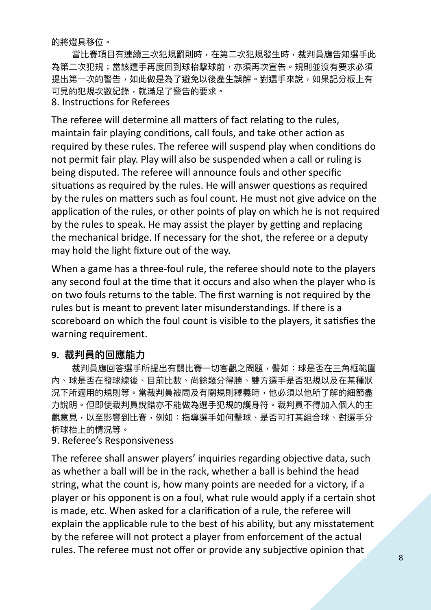的將燈具移位。

當比賽項目有連續三次犯規罰則時,在第二次犯規發生時,裁判員應告知選手此 為第二次犯規;當該選手再度回到球枱擊球前,亦須再次宣告。規則並沒有要求必須 提出第一次的警告,如此做是為了避免以後產生誤解。對選手來說,如果記分板上有 可見的犯規次數紀錄,就滿足了警告的要求。 8. Instructions for Referees

The referee will determine all matters of fact relating to the rules, maintain fair playing conditions, call fouls, and take other action as required by these rules. The referee will suspend play when conditions do not permit fair play. Play will also be suspended when a call or ruling is being disputed. The referee will announce fouls and other specific situations as required by the rules. He will answer questions as required by the rules on matters such as foul count. He must not give advice on the application of the rules, or other points of play on which he is not required by the rules to speak. He may assist the player by getting and replacing the mechanical bridge. If necessary for the shot, the referee or a deputy may hold the light fixture out of the way.

When a game has a three-foul rule, the referee should note to the players any second foul at the time that it occurs and also when the player who is on two fouls returns to the table. The first warning is not required by the rules but is meant to prevent later misunderstandings. If there is a scoreboard on which the foul count is visible to the players, it satisfies the warning requirement.

#### **9. 裁判員的回應能⼒**

裁判員應回答選手所提出有關比賽一切客觀之問題,譬如:球是否在三角框範圍 內、球是否在發球線後、目前比數、尚餘幾分得勝、雙方選手是否犯規以及在某種狀 況下所適用的規則等。當裁判員被問及有關規則釋義時,他必須以他所了解的細節盡 力說明。但即使裁判員說錯亦不能做為選手犯規的護身符。裁判員不得加入個人的主 觀意見,以至影響到比賽,例如:指導選手如何擊球、是否可打某組合球、對選手分 析球枱上的情況等。

#### 9. Referee's Responsiveness

The referee shall answer players' inquiries regarding objective data, such as whether a ball will be in the rack, whether a ball is behind the head string, what the count is, how many points are needed for a victory, if a player or his opponent is on a foul, what rule would apply if a certain shot is made, etc. When asked for a clarification of a rule, the referee will explain the applicable rule to the best of his ability, but any misstatement by the referee will not protect a player from enforcement of the actual rules. The referee must not offer or provide any subjective opinion that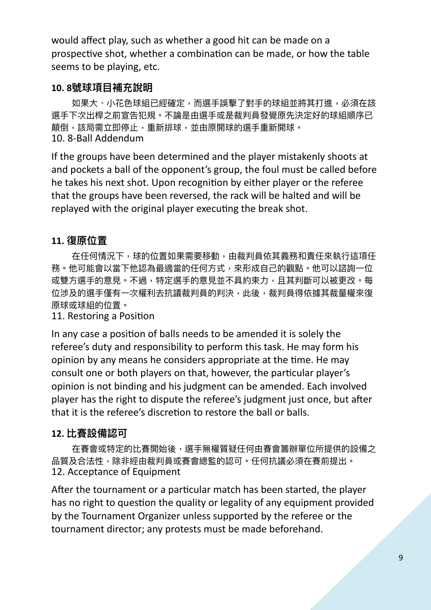would affect play, such as whether a good hit can be made on a prospective shot, whether a combination can be made, or how the table seems to be playing, etc.

# **10. 8號球項⽬補充說明**

如果大、小花色球組已經確定,而選手誤擊了對手的球組並將其打進,必須在該 選手下次出桿之前宣告犯規。不論是由選手或是裁判員發覺原先決定好的球組順序已 顛倒,該局需立即停止,重新排球,並由原開球的選手重新開球。 10. 8-Ball Addendum

If the groups have been determined and the player mistakenly shoots at and pockets a ball of the opponent's group, the foul must be called before he takes his next shot. Upon recognition by either player or the referee that the groups have been reversed, the rack will be halted and will be replayed with the original player executing the break shot.

# **11. 復原位置**

在任何情況下,球的位置如果需要移動,由裁判員依其義務和責任來執行這項任 務。他可能會以當下他認為最適當的任何方式,來形成自己的觀點。他可以諮詢一位 或雙方選手的意見。不過,特定選手的意見並不具約束力,且其判斷可以被更改。每 位涉及的選手僅有一次權利去抗議裁判員的判決,此後,裁判員得依據其裁量權來復 原球或球組的位置。

11. Restoring a Position

In any case a position of balls needs to be amended it is solely the referee's duty and responsibility to perform this task. He may form his opinion by any means he considers appropriate at the time. He may consult one or both players on that, however, the particular player's opinion is not binding and his judgment can be amended. Each involved player has the right to dispute the referee's judgment just once, but after that it is the referee's discretion to restore the ball or balls.

# **12. 比賽設備認可**

在賽會或特定的比賽開始後,選手無權質疑任何由賽會籌辦單位所提供的設備之 品質及合法性,除非經由裁判員或賽會總監的認可。任何抗議必須在賽前提出。 12. Acceptance of Equipment

After the tournament or a particular match has been started, the player has no right to question the quality or legality of any equipment provided by the Tournament Organizer unless supported by the referee or the tournament director; any protests must be made beforehand.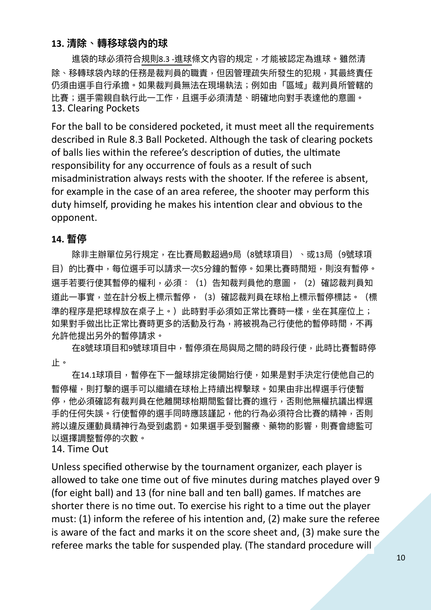#### **13. 清除、轉移球袋內的球**

進袋的球必須符合規則8.3 -進球條文內容的規定,才能被認定為進球。雖然清 除、移轉球袋內球的任務是裁判員的職責,但因管理疏失所發生的犯規,其最終責任 仍須由選手自行承擔。如果裁判員無法在現場執法;例如由「區域」裁判員所管轄的 比賽;選手需親自執行此一工作,且選手必須清楚、明確地向對手表達他的意圖。 13. Clearing Pockets

For the ball to be considered pocketed, it must meet all the requirements described in Rule 8.3 Ball Pocketed. Although the task of clearing pockets of balls lies within the referee's description of duties, the ultimate responsibility for any occurrence of fouls as a result of such misadministration always rests with the shooter. If the referee is absent, for example in the case of an area referee, the shooter may perform this duty himself, providing he makes his intention clear and obvious to the opponent.

#### **14. 暫停**

除非主辦單位另行規定,在比賽局數超過9局(8號球項目)、或13局(9號球項 目)的比賽中,每位選手可以請求一次5分鐘的暫停。如果比賽時間短,則沒有暫停。 選手若要行使其暫停的權利,必須: (1) 告知裁判員他的意圖, (2) 確認裁判員知 道此一事實,並在計分板上標示暫停,(3)確認裁判員在球枱上標示暫停標誌。(標 準的程序是把球桿放在桌子上。)此時對手必須如正常比賽時一樣,坐在其座位上; 如果對手做出比正常比賽時更多的活動及行為,將被視為己行使他的暫停時間,不再 允許他提出另外的暫停請求。

在8號球項目和9號球項目中,暫停須在局與局之間的時段行使,此時比賽暫時停 ⽌。

在14.1球項目,暫停在下一盤球排定後開始行使,如果是對手決定行使他自己的 暫停權,則打擊的選手可以繼續在球枱上持續出桿擊球。如果由非出桿選手行使暫 停,他必須確認有裁判員在他離開球枱期間監督比賽的進行,否則他無權抗議出桿選 手的任何失誤。行使暫停的選手同時應該謹記,他的行為必須符合比賽的精神,否則 將以違反運動員精神行為受到處罰。如果選手受到醫療、藥物的影響,則賽會總監可 以選擇調整暫停的次數。

14. Time Out

Unless specified otherwise by the tournament organizer, each player is allowed to take one time out of five minutes during matches played over 9 (for eight ball) and 13 (for nine ball and ten ball) games. If matches are shorter there is no time out. To exercise his right to a time out the player must: (1) inform the referee of his intention and, (2) make sure the referee is aware of the fact and marks it on the score sheet and, (3) make sure the referee marks the table for suspended play. (The standard procedure will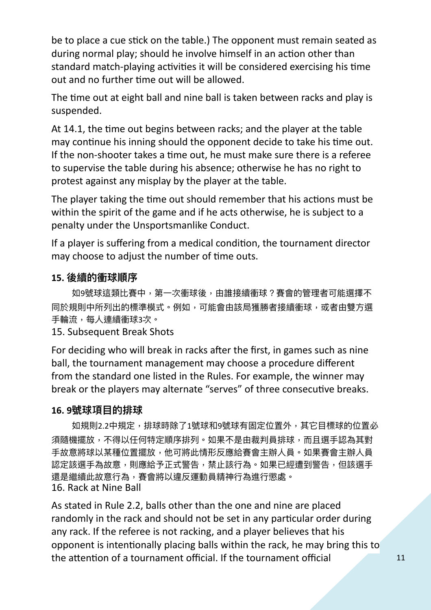be to place a cue stick on the table.) The opponent must remain seated as during normal play; should he involve himself in an action other than standard match-playing activities it will be considered exercising his time out and no further time out will be allowed.

The time out at eight ball and nine ball is taken between racks and play is suspended.

At 14.1, the time out begins between racks; and the player at the table may continue his inning should the opponent decide to take his time out. If the non-shooter takes a time out, he must make sure there is a referee to supervise the table during his absence; otherwise he has no right to protest against any misplay by the player at the table.

The player taking the time out should remember that his actions must be within the spirit of the game and if he acts otherwise, he is subject to a penalty under the Unsportsmanlike Conduct.

If a player is suffering from a medical condition, the tournament director may choose to adjust the number of time outs.

# **15. 後續的衝球順序**

如9號球這類比賽中,第一次衝球後,由誰接續衝球?賽會的管理者可能選擇不 同於規則中所列出的標準模式。例如,可能會由該局獲勝者接續衝球,或者由雙方選 手輪流,每人連續衝球3次。

# 15. Subsequent Break Shots

For deciding who will break in racks after the first, in games such as nine ball, the tournament management may choose a procedure different from the standard one listed in the Rules. For example, the winner may break or the players may alternate "serves" of three consecutive breaks.

# **16. 9號球項⽬的排球**

如規則2.2中規定,排球時除了1號球和9號球有固定位置外,其它目標球的位置必 須隨機擺放,不得以任何特定順序排列。如果不是由裁判員排球,而且選手認為其對 手故意將球以某種位置擺放,他可將此情形反應給賽會主辦人員。如果賽會主辦人員 認定該選手為故意,則應給予正式警告,禁止該行為。如果已經遭到警告,但該選手 還是繼續此故意行為,賽會將以違反運動員精神行為進行懲處。 16. Rack at Nine Ball

As stated in Rule 2.2, balls other than the one and nine are placed randomly in the rack and should not be set in any particular order during any rack. If the referee is not racking, and a player believes that his opponent is intentionally placing balls within the rack, he may bring this to the attention of a tournament official. If the tournament official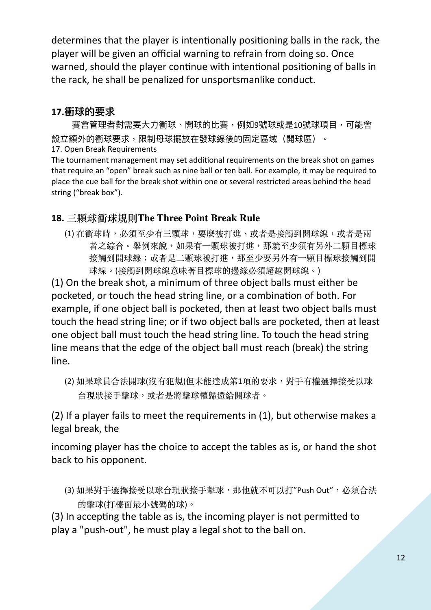determines that the player is intentionally positioning balls in the rack, the player will be given an official warning to refrain from doing so. Once warned, should the player continue with intentional positioning of balls in the rack, he shall be penalized for unsportsmanlike conduct.

# **17.衝球的要求**

賽會管理者對需要大力衝球、開球的比賽,例如9號球或是10號球項目,可能會 設立額外的衝球要求,限制母球擺放在發球線後的固定區域(開球區)。 17. Open Break Requirements

The tournament management may set additional requirements on the break shot on games that require an "open" break such as nine ball or ten ball. For example, it may be required to place the cue ball for the break shot within one or several restricted areas behind the head string ("break box").

# **18. 三顆球衝球規則The Three Point Break Rule**

(1) 在衝球時,必須至少有三顆球,要麼被打進、或者是接觸到開球線,或者是兩 者之綜合。舉例來說,如果有一顆球被打進,那就至少須有另外二顆目標球 接觸到開球線;或者是二顆球被打進,那至少要另外有一顆目標球接觸到開 球線。(接觸到開球線意味著目標球的邊緣必須超越開球線。)

(1) On the break shot, a minimum of three object balls must either be pocketed, or touch the head string line, or a combination of both. For example, if one object ball is pocketed, then at least two object balls must touch the head string line; or if two object balls are pocketed, then at least one object ball must touch the head string line. To touch the head string line means that the edge of the object ball must reach (break) the string line.

(2) 如果球員合法開球(沒有犯規)但未能達成第1項的要求, 對手有權選擇接受以球 台現狀接⼿擊球,或者是將擊球權歸還給開球者。

(2) If a player fails to meet the requirements in (1), but otherwise makes a legal break, the

incoming player has the choice to accept the tables as is, or hand the shot back to his opponent.

(3) 如果對手選擇接受以球台現狀接手擊球,那他就不可以打"Push Out", 必須合法 的擊球(打檯面最小號碼的球)。

(3) In accepting the table as is, the incoming player is not permitted to play a "push-out", he must play a legal shot to the ball on.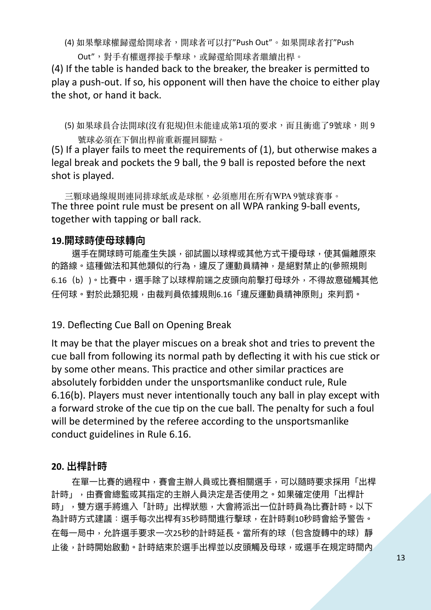(4) 如果擊球權歸還給開球者,開球者可以打"Push Out"。如果開球者打"Push

Out",對手有權選擇接手擊球,或歸還給開球者繼續出桿。

(4) If the table is handed back to the breaker, the breaker is permitted to play a push-out. If so, his opponent will then have the choice to either play the shot, or hand it back.

(5) 如果球員合法開球(沒有犯規)但未能達成第1項的要求,而且衝進了9號球,則 9 號球必須在下個出桿前重新擺回腳點。

(5) If a player fails to meet the requirements of (1), but otherwise makes a legal break and pockets the 9 ball, the 9 ball is reposted before the next shot is played.

三顆球過線規則連同排球紙或是球框,必須應用在所有WPA 9號球賽事。 The three point rule must be present on all WPA ranking 9-ball events, together with tapping or ball rack.

#### **19.開球時使⺟球轉向**

選手在開球時可能產生失誤,卻試圖以球桿或其他方式干擾母球,使其偏離原來 的路線。這種做法和其他類似的行為,違反了運動員精神,是絕對禁止的(參照規則 6.16 (b))。比賽中,選手除了以球桿前端之皮頭向前擊打母球外,不得故意碰觸其他 任何球。對於此類犯規,由裁判員依據規則6.16「違反運動員精神原則」來判罰。

#### 19. Deflecting Cue Ball on Opening Break

It may be that the player miscues on a break shot and tries to prevent the cue ball from following its normal path by deflecting it with his cue stick or by some other means. This practice and other similar practices are absolutely forbidden under the unsportsmanlike conduct rule, Rule 6.16(b). Players must never intentionally touch any ball in play except with a forward stroke of the cue tip on the cue ball. The penalty for such a foul will be determined by the referee according to the unsportsmanlike conduct guidelines in Rule 6.16.

#### **20. 出桿計時**

在單一比賽的過程中,賽會主辦人員或比賽相關選手,可以隨時要求採用「出桿 計時」,由賽會總監或其指定的主辦人員決定是否使用之。如果確定使用「出桿計 時」,雙方選手將進入「計時」出桿狀態,大會將派出一位計時員為比賽計時。以下 為計時方式建議:選手每次出桿有35秒時間進行擊球,在計時剩10秒時會給予警告。 在每一局中,允許選手要求一次25秒的計時延長。當所有的球(包含旋轉中的球)靜 止後,計時開始啟動。計時結束於選手出桿並以皮頭觸及母球,或選手在規定時間內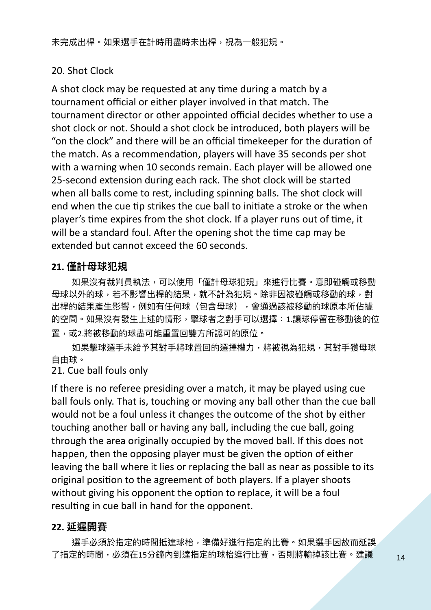# 20. Shot Clock

A shot clock may be requested at any time during a match by a tournament official or either player involved in that match. The tournament director or other appointed official decides whether to use a shot clock or not. Should a shot clock be introduced, both players will be "on the clock" and there will be an official timekeeper for the duration of the match. As a recommendation, players will have 35 seconds per shot with a warning when 10 seconds remain. Each player will be allowed one 25-second extension during each rack. The shot clock will be started when all balls come to rest, including spinning balls. The shot clock will end when the cue tip strikes the cue ball to initiate a stroke or the when player's time expires from the shot clock. If a player runs out of time, it will be a standard foul. After the opening shot the time cap may be extended but cannot exceed the 60 seconds.

# **21. 僅計⺟球犯規**

如果沒有裁判員執法,可以使用「僅計母球犯規」來進行比賽。意即碰觸或移動 母球以外的球,若不影響出桿的結果,就不計為犯規。除非因被碰觸或移動的球,對 出桿的結果產生影響,例如有任何球(包含母球),會通過該被移動的球原本所佔據 的空間。如果沒有發生上述的情形,擊球者之對手可以選擇:1.讓球停留在移動後的位 置,或2.將被移動的球盡可能重置回雙方所認可的原位。

如果擊球選手未給予其對手將球置回的選擇權力,將被視為犯規,其對手獲母球 自由球。

### 21. Cue ball fouls only

If there is no referee presiding over a match, it may be played using cue ball fouls only. That is, touching or moving any ball other than the cue ball would not be a foul unless it changes the outcome of the shot by either touching another ball or having any ball, including the cue ball, going through the area originally occupied by the moved ball. If this does not happen, then the opposing player must be given the option of either leaving the ball where it lies or replacing the ball as near as possible to its original position to the agreement of both players. If a player shoots without giving his opponent the option to replace, it will be a foul resulting in cue ball in hand for the opponent.

#### **22. 延遲開賽**

選手必須於指定的時間抵達球枱,準備好進行指定的比賽。如果選手因故而延誤 了指定的時間,必須在15分鐘內到達指定的球枱進行比賽,否則將輸掉該比賽。建議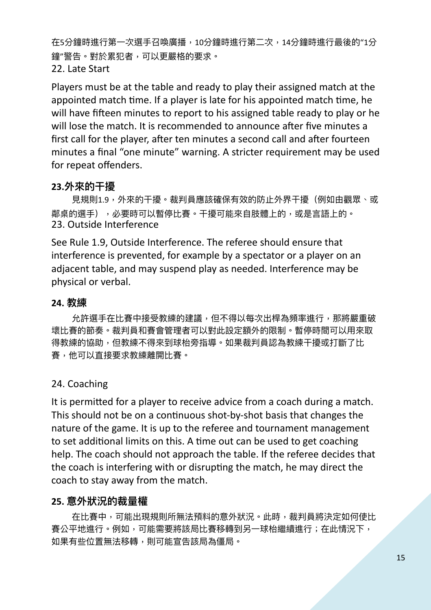在5分鐘時進行第一次選手召喚廣播,10分鐘時進行第二次,14分鐘時進行最後的"1分 鐘"警告。對於累犯者,可以更嚴格的要求。 22. Late Start

Players must be at the table and ready to play their assigned match at the appointed match time. If a player is late for his appointed match time, he will have fifteen minutes to report to his assigned table ready to play or he will lose the match. It is recommended to announce after five minutes a first call for the player, after ten minutes a second call and after fourteen minutes a final "one minute" warning. A stricter requirement may be used for repeat offenders.

# **23.外來的⼲擾**

見規則1.9,外來的干擾。裁判員應該確保有效的防止外界干擾(例如由觀眾、或 鄰桌的選手), 办要時可以暫停比賽。于擾可能來自肢體上的, 或是言語上的。 23. Outside Interference

See Rule 1.9, Outside Interference. The referee should ensure that interference is prevented, for example by a spectator or a player on an adjacent table, and may suspend play as needed. Interference may be physical or verbal.

#### **24. 教練**

允許選手在比賽中接受教練的建議,但不得以每次出桿為頻率進行,那將嚴重破 壞比賽的節奏。裁判員和賽會管理者可以對此設定額外的限制。暫停時間可以用來取 得教練的協助,但教練不得來到球枱旁指導。如果裁判員認為教練干擾或打斷了比 賽,他可以直接要求教練離開比賽。

#### 24. Coaching

It is permitted for a player to receive advice from a coach during a match. This should not be on a continuous shot-by-shot basis that changes the nature of the game. It is up to the referee and tournament management to set additional limits on this. A time out can be used to get coaching help. The coach should not approach the table. If the referee decides that the coach is interfering with or disrupting the match, he may direct the coach to stay away from the match.

#### **25. 意外狀況的裁量權**

在比賽中,可能出現規則所無法預料的意外狀況。此時,裁判員將決定如何使比 賽公平地進行。例如,可能需要將該局比賽移轉到另一球枱繼續進行;在此情況下, 如果有些位置無法移轉,則可能宣告該局為僵局。